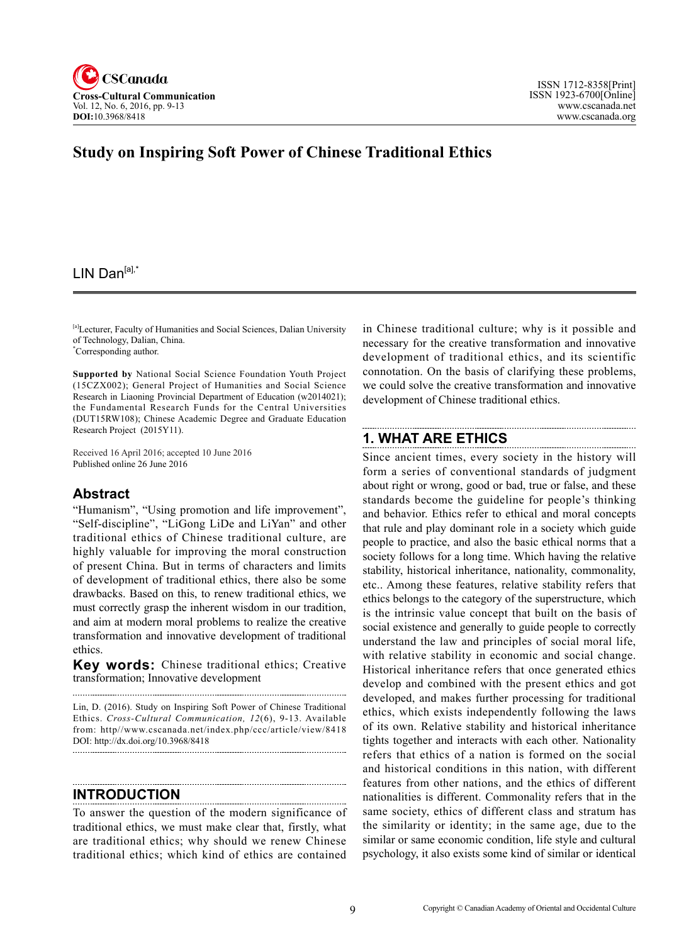

## **Study on Inspiring Soft Power of Chinese Traditional Ethics**

### LIN Dan $[a]$ ,\*

[a]Lecturer, Faculty of Humanities and Social Sciences, Dalian University of Technology, Dalian, China.

\* Corresponding author.

**Supported by** National Social Science Foundation Youth Project (15CZX002); General Project of Humanities and Social Science Research in Liaoning Provincial Department of Education (w2014021); the Fundamental Research Funds for the Central Universities (DUT15RW108); Chinese Academic Degree and Graduate Education Research Project (2015Y11).

Received 16 April 2016; accepted 10 June 2016 Published online 26 June 2016

#### **Abstract**

"Humanism", "Using promotion and life improvement", "Self-discipline", "LiGong LiDe and LiYan" and other traditional ethics of Chinese traditional culture, are highly valuable for improving the moral construction of present China. But in terms of characters and limits of development of traditional ethics, there also be some drawbacks. Based on this, to renew traditional ethics, we must correctly grasp the inherent wisdom in our tradition, and aim at modern moral problems to realize the creative transformation and innovative development of traditional ethics.

**Key words:** Chinese traditional ethics; Creative transformation; Innovative development

Lin, D. (2016). Study on Inspiring Soft Power of Chinese Traditional Ethics. *Cross-Cultural Communication, 12*(6), 9-13. Available from: http//www.cscanada.net/index.php/ccc/article/view/8418

**INTRODUCTION**

DOI: http://dx.doi.org/10.3968/8418

To answer the question of the modern significance of traditional ethics, we must make clear that, firstly, what are traditional ethics; why should we renew Chinese traditional ethics; which kind of ethics are contained

in Chinese traditional culture; why is it possible and necessary for the creative transformation and innovative development of traditional ethics, and its scientific connotation. On the basis of clarifying these problems, we could solve the creative transformation and innovative development of Chinese traditional ethics.

### **1. WHAT ARE ETHICS**

Since ancient times, every society in the history will form a series of conventional standards of judgment about right or wrong, good or bad, true or false, and these standards become the guideline for people's thinking and behavior. Ethics refer to ethical and moral concepts that rule and play dominant role in a society which guide people to practice, and also the basic ethical norms that a society follows for a long time. Which having the relative stability, historical inheritance, nationality, commonality, etc.. Among these features, relative stability refers that ethics belongs to the category of the superstructure, which is the intrinsic value concept that built on the basis of social existence and generally to guide people to correctly understand the law and principles of social moral life, with relative stability in economic and social change. Historical inheritance refers that once generated ethics develop and combined with the present ethics and got developed, and makes further processing for traditional ethics, which exists independently following the laws of its own. Relative stability and historical inheritance tights together and interacts with each other. Nationality refers that ethics of a nation is formed on the social and historical conditions in this nation, with different features from other nations, and the ethics of different nationalities is different. Commonality refers that in the same society, ethics of different class and stratum has the similarity or identity; in the same age, due to the similar or same economic condition, life style and cultural psychology, it also exists some kind of similar or identical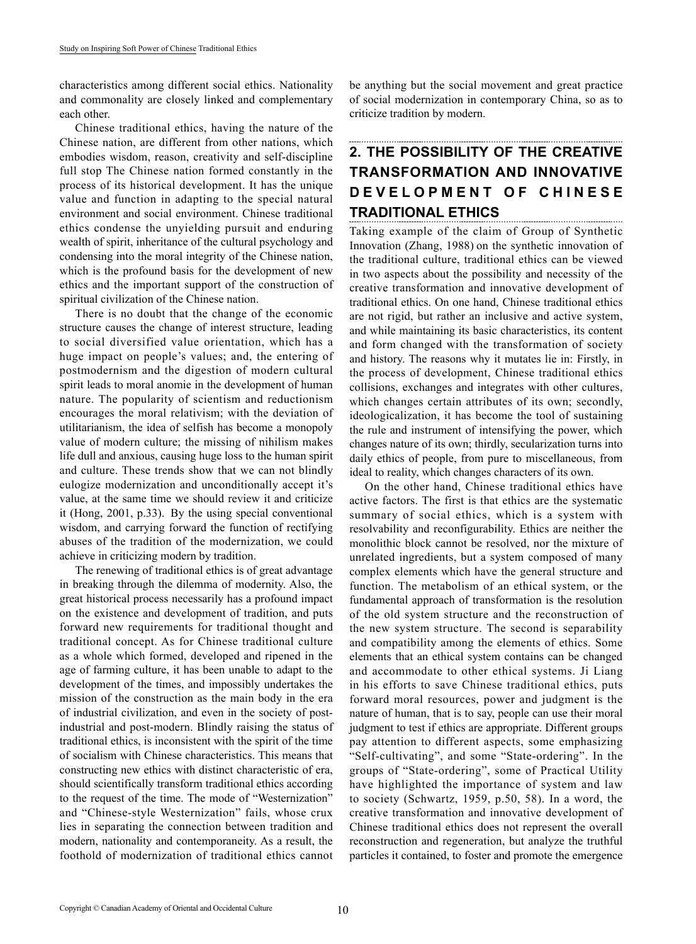characteristics among different social ethics. Nationality and commonality are closely linked and complementary each other.

Chinese traditional ethics, having the nature of the Chinese nation, are different from other nations, which embodies wisdom, reason, creativity and self-discipline full stop The Chinese nation formed constantly in the process of its historical development. It has the unique value and function in adapting to the special natural environment and social environment. Chinese traditional ethics condense the unyielding pursuit and enduring wealth of spirit, inheritance of the cultural psychology and condensing into the moral integrity of the Chinese nation, which is the profound basis for the development of new ethics and the important support of the construction of spiritual civilization of the Chinese nation.

There is no doubt that the change of the economic structure causes the change of interest structure, leading to social diversified value orientation, which has a huge impact on people's values; and, the entering of postmodernism and the digestion of modern cultural spirit leads to moral anomie in the development of human nature. The popularity of scientism and reductionism encourages the moral relativism; with the deviation of utilitarianism, the idea of selfish has become a monopoly value of modern culture; the missing of nihilism makes life dull and anxious, causing huge loss to the human spirit and culture. These trends show that we can not blindly eulogize modernization and unconditionally accept it's value, at the same time we should review it and criticize it (Hong, 2001, p.33). By the using special conventional wisdom, and carrying forward the function of rectifying abuses of the tradition of the modernization, we could achieve in criticizing modern by tradition.

The renewing of traditional ethics is of great advantage in breaking through the dilemma of modernity. Also, the great historical process necessarily has a profound impact on the existence and development of tradition, and puts forward new requirements for traditional thought and traditional concept. As for Chinese traditional culture as a whole which formed, developed and ripened in the age of farming culture, it has been unable to adapt to the development of the times, and impossibly undertakes the mission of the construction as the main body in the era of industrial civilization, and even in the society of postindustrial and post-modern. Blindly raising the status of traditional ethics, is inconsistent with the spirit of the time of socialism with Chinese characteristics. This means that constructing new ethics with distinct characteristic of era, should scientifically transform traditional ethics according to the request of the time. The mode of "Westernization" and "Chinese-style Westernization" fails, whose crux lies in separating the connection between tradition and modern, nationality and contemporaneity. As a result, the foothold of modernization of traditional ethics cannot be anything but the social movement and great practice of social modernization in contemporary China, so as to criticize tradition by modern.

# **2. THE POSSIBILITY OF THE CREATIVE TRANSFORMATION AND INNOVATIVE D E V E L O P M E N T O F C H I N E S E TRADITIONAL ETHICS**

Taking example of the claim of Group of Synthetic Innovation (Zhang, 1988) on the synthetic innovation of the traditional culture, traditional ethics can be viewed in two aspects about the possibility and necessity of the creative transformation and innovative development of traditional ethics. On one hand, Chinese traditional ethics are not rigid, but rather an inclusive and active system, and while maintaining its basic characteristics, its content and form changed with the transformation of society and history. The reasons why it mutates lie in: Firstly, in the process of development, Chinese traditional ethics collisions, exchanges and integrates with other cultures, which changes certain attributes of its own; secondly, ideologicalization, it has become the tool of sustaining the rule and instrument of intensifying the power, which changes nature of its own; thirdly, secularization turns into daily ethics of people, from pure to miscellaneous, from ideal to reality, which changes characters of its own.

On the other hand, Chinese traditional ethics have active factors. The first is that ethics are the systematic summary of social ethics, which is a system with resolvability and reconfigurability. Ethics are neither the monolithic block cannot be resolved, nor the mixture of unrelated ingredients, but a system composed of many complex elements which have the general structure and function. The metabolism of an ethical system, or the fundamental approach of transformation is the resolution of the old system structure and the reconstruction of the new system structure. The second is separability and compatibility among the elements of ethics. Some elements that an ethical system contains can be changed and accommodate to other ethical systems. Ji Liang in his efforts to save Chinese traditional ethics, puts forward moral resources, power and judgment is the nature of human, that is to say, people can use their moral judgment to test if ethics are appropriate. Different groups pay attention to different aspects, some emphasizing "Self-cultivating", and some "State-ordering". In the groups of "State-ordering", some of Practical Utility have highlighted the importance of system and law to society (Schwartz, 1959, p.50, 58). In a word, the creative transformation and innovative development of Chinese traditional ethics does not represent the overall reconstruction and regeneration, but analyze the truthful particles it contained, to foster and promote the emergence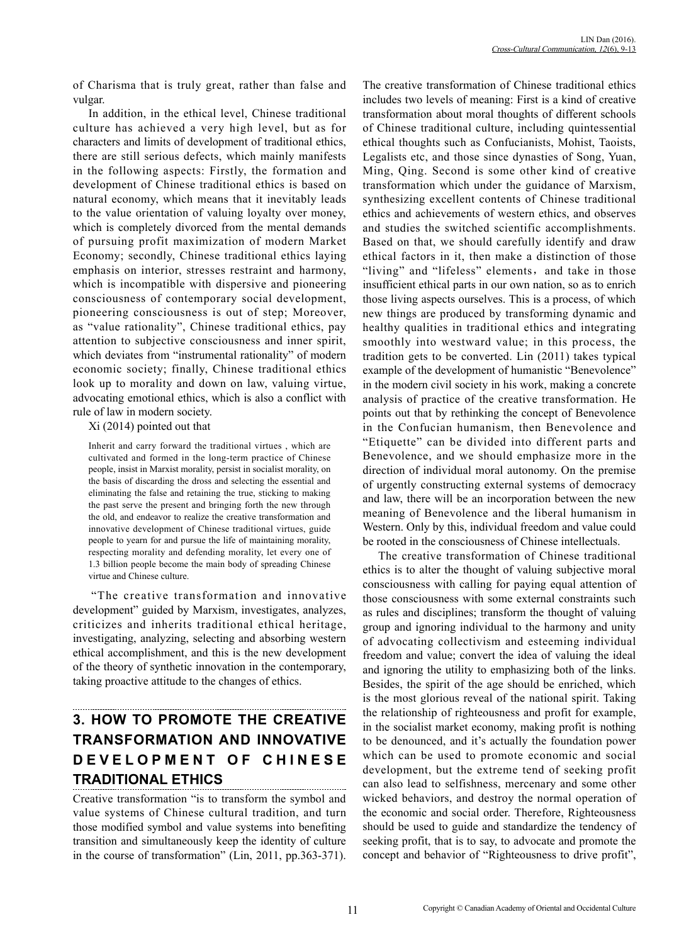of Charisma that is truly great, rather than false and vulgar.

In addition, in the ethical level, Chinese traditional culture has achieved a very high level, but as for characters and limits of development of traditional ethics, there are still serious defects, which mainly manifests in the following aspects: Firstly, the formation and development of Chinese traditional ethics is based on natural economy, which means that it inevitably leads to the value orientation of valuing loyalty over money, which is completely divorced from the mental demands of pursuing profit maximization of modern Market Economy; secondly, Chinese traditional ethics laying emphasis on interior, stresses restraint and harmony, which is incompatible with dispersive and pioneering consciousness of contemporary social development, pioneering consciousness is out of step; Moreover, as "value rationality", Chinese traditional ethics, pay attention to subjective consciousness and inner spirit, which deviates from "instrumental rationality" of modern economic society; finally, Chinese traditional ethics look up to morality and down on law, valuing virtue, advocating emotional ethics, which is also a conflict with rule of law in modern society.

Xi (2014) pointed out that

Inherit and carry forward the traditional virtues , which are cultivated and formed in the long-term practice of Chinese people, insist in Marxist morality, persist in socialist morality, on the basis of discarding the dross and selecting the essential and eliminating the false and retaining the true, sticking to making the past serve the present and bringing forth the new through the old, and endeavor to realize the creative transformation and innovative development of Chinese traditional virtues, guide people to yearn for and pursue the life of maintaining morality, respecting morality and defending morality, let every one of 1.3 billion people become the main body of spreading Chinese virtue and Chinese culture.

"The creative transformation and innovative development" guided by Marxism, investigates, analyzes, criticizes and inherits traditional ethical heritage, investigating, analyzing, selecting and absorbing western ethical accomplishment, and this is the new development of the theory of synthetic innovation in the contemporary, taking proactive attitude to the changes of ethics.

# **3. HOW TO PROMOTE THE CREATIVE TRANSFORMATION AND INNOVATIVE D E V E L O P M E N T O F C H I N E S E TRADITIONAL ETHICS**

Creative transformation "is to transform the symbol and value systems of Chinese cultural tradition, and turn those modified symbol and value systems into benefiting transition and simultaneously keep the identity of culture in the course of transformation" (Lin, 2011, pp.363-371).

The creative transformation of Chinese traditional ethics includes two levels of meaning: First is a kind of creative transformation about moral thoughts of different schools of Chinese traditional culture, including quintessential ethical thoughts such as Confucianists, Mohist, Taoists, Legalists etc, and those since dynasties of Song, Yuan, Ming, Qing. Second is some other kind of creative transformation which under the guidance of Marxism, synthesizing excellent contents of Chinese traditional ethics and achievements of western ethics, and observes and studies the switched scientific accomplishments. Based on that, we should carefully identify and draw ethical factors in it, then make a distinction of those "living" and "lifeless" elements, and take in those insufficient ethical parts in our own nation, so as to enrich those living aspects ourselves. This is a process, of which new things are produced by transforming dynamic and healthy qualities in traditional ethics and integrating smoothly into westward value; in this process, the tradition gets to be converted. Lin (2011) takes typical example of the development of humanistic "Benevolence" in the modern civil society in his work, making a concrete analysis of practice of the creative transformation. He points out that by rethinking the concept of Benevolence in the Confucian humanism, then Benevolence and "Etiquette" can be divided into different parts and Benevolence, and we should emphasize more in the direction of individual moral autonomy. On the premise of urgently constructing external systems of democracy and law, there will be an incorporation between the new meaning of Benevolence and the liberal humanism in Western. Only by this, individual freedom and value could be rooted in the consciousness of Chinese intellectuals.

The creative transformation of Chinese traditional ethics is to alter the thought of valuing subjective moral consciousness with calling for paying equal attention of those consciousness with some external constraints such as rules and disciplines; transform the thought of valuing group and ignoring individual to the harmony and unity of advocating collectivism and esteeming individual freedom and value; convert the idea of valuing the ideal and ignoring the utility to emphasizing both of the links. Besides, the spirit of the age should be enriched, which is the most glorious reveal of the national spirit. Taking the relationship of righteousness and profit for example, in the socialist market economy, making profit is nothing to be denounced, and it's actually the foundation power which can be used to promote economic and social development, but the extreme tend of seeking profit can also lead to selfishness, mercenary and some other wicked behaviors, and destroy the normal operation of the economic and social order. Therefore, Righteousness should be used to guide and standardize the tendency of seeking profit, that is to say, to advocate and promote the concept and behavior of "Righteousness to drive profit",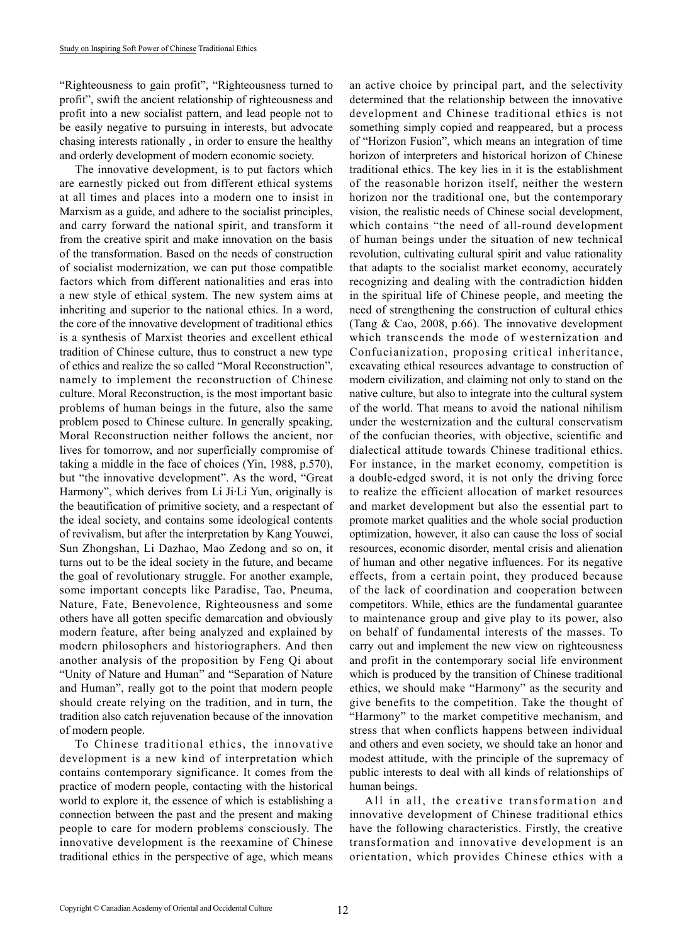"Righteousness to gain profit", "Righteousness turned to profit", swift the ancient relationship of righteousness and profit into a new socialist pattern, and lead people not to be easily negative to pursuing in interests, but advocate chasing interests rationally , in order to ensure the healthy and orderly development of modern economic society.

The innovative development, is to put factors which are earnestly picked out from different ethical systems at all times and places into a modern one to insist in Marxism as a guide, and adhere to the socialist principles, and carry forward the national spirit, and transform it from the creative spirit and make innovation on the basis of the transformation. Based on the needs of construction of socialist modernization, we can put those compatible factors which from different nationalities and eras into a new style of ethical system. The new system aims at inheriting and superior to the national ethics. In a word, the core of the innovative development of traditional ethics is a synthesis of Marxist theories and excellent ethical tradition of Chinese culture, thus to construct a new type of ethics and realize the so called "Moral Reconstruction", namely to implement the reconstruction of Chinese culture. Moral Reconstruction, is the most important basic problems of human beings in the future, also the same problem posed to Chinese culture. In generally speaking, Moral Reconstruction neither follows the ancient, nor lives for tomorrow, and nor superficially compromise of taking a middle in the face of choices (Yin, 1988, p.570), but "the innovative development". As the word, "Great Harmony", which derives from Li Ji·Li Yun, originally is the beautification of primitive society, and a respectant of the ideal society, and contains some ideological contents of revivalism, but after the interpretation by Kang Youwei, Sun Zhongshan, Li Dazhao, Mao Zedong and so on, it turns out to be the ideal society in the future, and became the goal of revolutionary struggle. For another example, some important concepts like Paradise, Tao, Pneuma, Nature, Fate, Benevolence, Righteousness and some others have all gotten specific demarcation and obviously modern feature, after being analyzed and explained by modern philosophers and historiographers. And then another analysis of the proposition by Feng Qi about "Unity of Nature and Human" and "Separation of Nature and Human", really got to the point that modern people should create relying on the tradition, and in turn, the tradition also catch rejuvenation because of the innovation of modern people.

To Chinese traditional ethics, the innovative development is a new kind of interpretation which contains contemporary significance. It comes from the practice of modern people, contacting with the historical world to explore it, the essence of which is establishing a connection between the past and the present and making people to care for modern problems consciously. The innovative development is the reexamine of Chinese traditional ethics in the perspective of age, which means an active choice by principal part, and the selectivity determined that the relationship between the innovative development and Chinese traditional ethics is not something simply copied and reappeared, but a process of "Horizon Fusion", which means an integration of time horizon of interpreters and historical horizon of Chinese traditional ethics. The key lies in it is the establishment of the reasonable horizon itself, neither the western horizon nor the traditional one, but the contemporary vision, the realistic needs of Chinese social development, which contains "the need of all-round development of human beings under the situation of new technical revolution, cultivating cultural spirit and value rationality that adapts to the socialist market economy, accurately recognizing and dealing with the contradiction hidden in the spiritual life of Chinese people, and meeting the need of strengthening the construction of cultural ethics (Tang & Cao, 2008, p.66). The innovative development which transcends the mode of westernization and Confucianization, proposing critical inheritance, excavating ethical resources advantage to construction of modern civilization, and claiming not only to stand on the native culture, but also to integrate into the cultural system of the world. That means to avoid the national nihilism under the westernization and the cultural conservatism of the confucian theories, with objective, scientific and dialectical attitude towards Chinese traditional ethics. For instance, in the market economy, competition is a double-edged sword, it is not only the driving force to realize the efficient allocation of market resources and market development but also the essential part to promote market qualities and the whole social production optimization, however, it also can cause the loss of social resources, economic disorder, mental crisis and alienation of human and other negative influences. For its negative effects, from a certain point, they produced because of the lack of coordination and cooperation between competitors. While, ethics are the fundamental guarantee to maintenance group and give play to its power, also on behalf of fundamental interests of the masses. To carry out and implement the new view on righteousness and profit in the contemporary social life environment which is produced by the transition of Chinese traditional ethics, we should make "Harmony" as the security and give benefits to the competition. Take the thought of "Harmony" to the market competitive mechanism, and stress that when conflicts happens between individual and others and even society, we should take an honor and modest attitude, with the principle of the supremacy of public interests to deal with all kinds of relationships of human beings.

All in all, the creative transformation and innovative development of Chinese traditional ethics have the following characteristics. Firstly, the creative transformation and innovative development is an orientation, which provides Chinese ethics with a